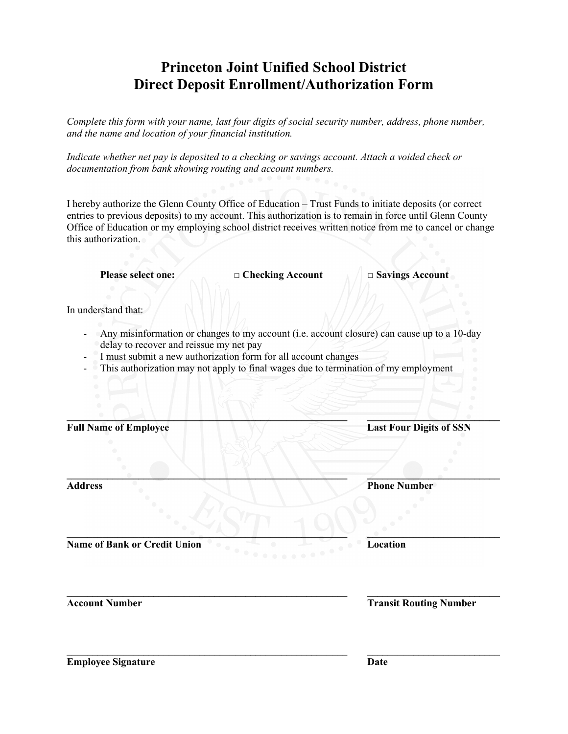# **Princeton Joint Unified School District Direct Deposit Enrollment/Authorization Form**

*Complete this form with your name, last four digits of social security number, address, phone number, and the name and location of your financial institution.*

*Indicate whether net pay is deposited to a checking or savings account. Attach a voided check or documentation from bank showing routing and account numbers.*

I hereby authorize the Glenn County Office of Education – Trust Funds to initiate deposits (or correct entries to previous deposits) to my account. This authorization is to remain in force until Glenn County Office of Education or my employing school district receives written notice from me to cancel or change this authorization.

**Please select one: □ Checking Account □ Savings Account**

In understand that:

- Any misinformation or changes to my account (i.e. account closure) can cause up to a 10-day delay to recover and reissue my net pay

**\_\_\_\_\_\_\_\_\_\_\_\_\_\_\_\_\_\_\_\_\_\_\_\_\_\_\_\_\_\_\_\_\_\_\_\_\_\_\_\_\_\_\_\_\_\_\_\_\_\_\_\_\_\_\_ \_\_\_\_\_\_\_\_\_\_\_\_\_\_\_\_\_\_\_\_\_\_\_\_\_\_**

**\_\_\_\_\_\_\_\_\_\_\_\_\_\_\_\_\_\_\_\_\_\_\_\_\_\_\_\_\_\_\_\_\_\_\_\_\_\_\_\_\_\_\_\_\_\_\_\_\_\_\_\_\_\_\_ \_\_\_\_\_\_\_\_\_\_\_\_\_\_\_\_\_\_\_\_\_\_\_\_\_\_**

**\_\_\_\_\_\_\_\_\_\_\_\_\_\_\_\_\_\_\_\_\_\_\_\_\_\_\_\_\_\_\_\_\_\_\_\_\_\_\_\_\_\_\_\_\_\_\_\_\_\_\_\_\_\_\_ \_\_\_\_\_\_\_\_\_\_\_\_\_\_\_\_\_\_\_\_\_\_\_\_\_\_**

- I must submit a new authorization form for all account changes
- This authorization may not apply to final wages due to termination of my employment

Full Name of Employee **Last Four Digits of SSN** 

**\_\_\_\_\_\_\_\_\_\_\_\_\_\_\_\_\_\_\_\_\_\_\_\_\_\_\_\_\_\_\_\_\_\_\_\_\_\_\_\_\_\_\_\_\_\_\_\_\_\_\_\_\_\_\_ \_\_\_\_\_\_\_\_\_\_\_\_\_\_\_\_\_\_\_\_\_\_\_\_\_\_ Address 2.1 Phone Number** 

**Name of Bank or Credit Union Location**

**\_\_\_\_\_\_\_\_\_\_\_\_\_\_\_\_\_\_\_\_\_\_\_\_\_\_\_\_\_\_\_\_\_\_\_\_\_\_\_\_\_\_\_\_\_\_\_\_\_\_\_\_\_\_\_ \_\_\_\_\_\_\_\_\_\_\_\_\_\_\_\_\_\_\_\_\_\_\_\_\_\_ Account Number Transit Routing Number**

**Employee Signature Date**